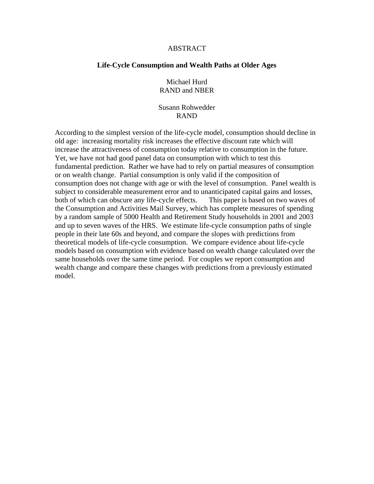## ABSTRACT

### **Life-Cycle Consumption and Wealth Paths at Older Ages**

Michael Hurd RAND and NBER

Susann Rohwedder RAND

According to the simplest version of the life-cycle model, consumption should decline in old age: increasing mortality risk increases the effective discount rate which will increase the attractiveness of consumption today relative to consumption in the future. Yet, we have not had good panel data on consumption with which to test this fundamental prediction. Rather we have had to rely on partial measures of consumption or on wealth change. Partial consumption is only valid if the composition of consumption does not change with age or with the level of consumption. Panel wealth is subject to considerable measurement error and to unanticipated capital gains and losses, both of which can obscure any life-cycle effects. This paper is based on two waves of the Consumption and Activities Mail Survey, which has complete measures of spending by a random sample of 5000 Health and Retirement Study households in 2001 and 2003 and up to seven waves of the HRS. We estimate life-cycle consumption paths of single people in their late 60s and beyond, and compare the slopes with predictions from theoretical models of life-cycle consumption. We compare evidence about life-cycle models based on consumption with evidence based on wealth change calculated over the same households over the same time period. For couples we report consumption and wealth change and compare these changes with predictions from a previously estimated model.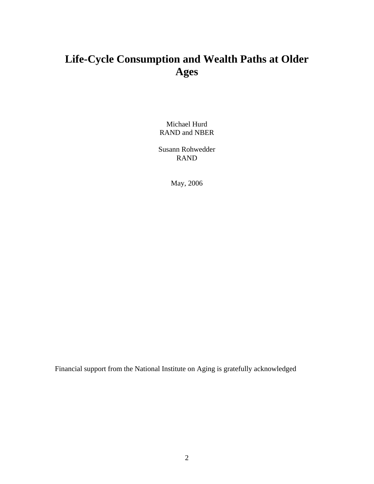# **Life-Cycle Consumption and Wealth Paths at Older Ages**

Michael Hurd RAND and NBER

Susann Rohwedder RAND

May, 2006

Financial support from the National Institute on Aging is gratefully acknowledged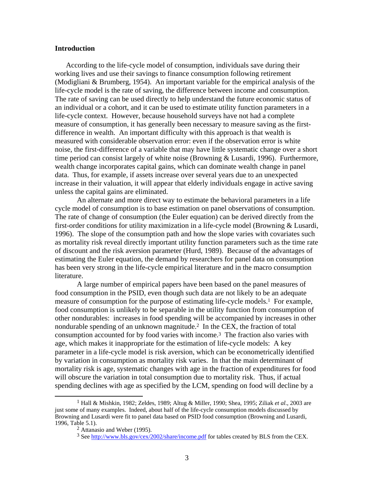## **Introduction**

According to the life-cycle model of consumption, individuals save during their working lives and use their savings to finance consumption following retirement (Modigliani & Brumberg, 1954). An important variable for the empirical analysis of the life-cycle model is the rate of saving, the difference between income and consumption. The rate of saving can be used directly to help understand the future economic status of an individual or a cohort, and it can be used to estimate utility function parameters in a life-cycle context. However, because household surveys have not had a complete measure of consumption, it has generally been necessary to measure saving as the firstdifference in wealth. An important difficulty with this approach is that wealth is measured with considerable observation error: even if the observation error is white noise, the first-difference of a variable that may have little systematic change over a short time period can consist largely of white noise (Browning & Lusardi, 1996). Furthermore, wealth change incorporates capital gains, which can dominate wealth change in panel data. Thus, for example, if assets increase over several years due to an unexpected increase in their valuation, it will appear that elderly individuals engage in active saving unless the capital gains are eliminated.

An alternate and more direct way to estimate the behavioral parameters in a life cycle model of consumption is to base estimation on panel observations of consumption. The rate of change of consumption (the Euler equation) can be derived directly from the first-order conditions for utility maximization in a life-cycle model (Browning & Lusardi, 1996). The slope of the consumption path and how the slope varies with covariates such as mortality risk reveal directly important utility function parameters such as the time rate of discount and the risk aversion parameter (Hurd, 1989). Because of the advantages of estimating the Euler equation, the demand by researchers for panel data on consumption has been very strong in the life-cycle empirical literature and in the macro consumption literature.

A large number of empirical papers have been based on the panel measures of food consumption in the PSID, even though such data are not likely to be an adequate measure of consumption for the purpose of estimating life-cycle models.1 For example, food consumption is unlikely to be separable in the utility function from consumption of other nondurables: increases in food spending will be accompanied by increases in other nondurable spending of an unknown magnitude.<sup>2</sup> In the CEX, the fraction of total consumption accounted for by food varies with income.3 The fraction also varies with age, which makes it inappropriate for the estimation of life-cycle models: A key parameter in a life-cycle model is risk aversion, which can be econometrically identified by variation in consumption as mortality risk varies. In that the main determinant of mortality risk is age, systematic changes with age in the fraction of expenditures for food will obscure the variation in total consumption due to mortality risk. Thus, if actual spending declines with age as specified by the LCM, spending on food will decline by a

 <sup>1</sup> Hall & Mishkin, 1982; Zeldes, 1989; Altug & Miller, 1990; Shea, 1995; Ziliak *et al*., 2003 are just some of many examples. Indeed, about half of the life-cycle consumption models discussed by Browning and Lusardi were fit to panel data based on PSID food consumption (Browning and Lusardi, 1996, Table 5.1).

<sup>2</sup> Attanasio and Weber (1995).

<sup>3</sup> See http://www.bls.gov/cex/2002/share/income.pdf for tables created by BLS from the CEX.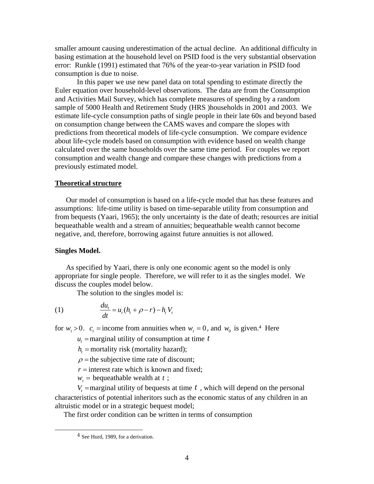smaller amount causing underestimation of the actual decline. An additional difficulty in basing estimation at the household level on PSID food is the very substantial observation error: Runkle (1991) estimated that 76% of the year-to-year variation in PSID food consumption is due to noise.

In this paper we use new panel data on total spending to estimate directly the Euler equation over household-level observations. The data are from the Consumption and Activities Mail Survey, which has complete measures of spending by a random sample of 5000 Health and Retirement Study (HRS )households in 2001 and 2003. We estimate life-cycle consumption paths of single people in their late 60s and beyond based on consumption change between the CAMS waves and compare the slopes with predictions from theoretical models of life-cycle consumption. We compare evidence about life-cycle models based on consumption with evidence based on wealth change calculated over the same households over the same time period. For couples we report consumption and wealth change and compare these changes with predictions from a previously estimated model.

#### **Theoretical structure**

Our model of consumption is based on a life-cycle model that has these features and assumptions: life-time utility is based on time-separable utility from consumption and from bequests (Yaari, 1965); the only uncertainty is the date of death; resources are initial bequeathable wealth and a stream of annuities; bequeathable wealth cannot become negative, and, therefore, borrowing against future annuities is not allowed.

### **Singles Model.**

As specified by Yaari, there is only one economic agent so the model is only appropriate for single people. Therefore, we will refer to it as the singles model. We discuss the couples model below.

The solution to the singles model is:

(1) 
$$
\frac{du_t}{dt} = u_t(h_t + \rho - r) - h_t V_t
$$

for  $w_t > 0$ .  $c_t$  = income from annuities when  $w_t = 0$ , and  $w_0$  is given.<sup>4</sup> Here

 $u_t$  = marginal utility of consumption at time  $t$ 

 $h_t$  = mortality risk (mortality hazard);

 $\rho$  = the subjective time rate of discount;

 $r =$  interest rate which is known and fixed;

 $w_t$  = bequeathable wealth at *t*;

 $V<sub>t</sub>$  =marginal utility of bequests at time  $t$ , which will depend on the personal characteristics of potential inheritors such as the economic status of any children in an altruistic model or in a strategic bequest model;

The first order condition can be written in terms of consumption

 $4$  See Hurd, 1989, for a derivation.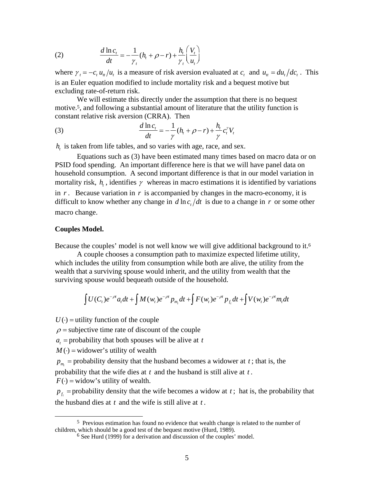(2) 
$$
\frac{d \ln c_t}{dt} = -\frac{1}{\gamma_t} (h_t + \rho - r) + \frac{h_t}{\gamma_t} \left( \frac{V_t}{u_t} \right)
$$

where  $\gamma_t = -c_t u_{tt}/u_t$  is a measure of risk aversion evaluated at  $c_t$  and  $u_{tt} = du_t/dc_t$ . This is an Euler equation modified to include mortality risk and a bequest motive but excluding rate-of-return risk.

We will estimate this directly under the assumption that there is no bequest motive.5, and following a substantial amount of literature that the utility function is constant relative risk aversion (CRRA). Then

(3) 
$$
\frac{d \ln c_t}{dt} = -\frac{1}{\gamma} (h_t + \rho - r) + \frac{h_t}{\gamma} c_t^{\gamma} V_t
$$

 $h<sub>t</sub>$  is taken from life tables, and so varies with age, race, and sex.

 Equations such as (3) have been estimated many times based on macro data or on PSID food spending. An important difference here is that we will have panel data on household consumption. A second important difference is that in our model variation in mortality risk,  $h_{i}$ , identifies  $\gamma$  whereas in macro estimations it is identified by variations in  $r$ . Because variation in  $r$  is accompanied by changes in the macro-economy, it is difficult to know whether any change in  $d \ln c_t/dt$  is due to a change in *r* or some other macro change.

### **Couples Model.**

Because the couples' model is not well know we will give additional background to it.<sup>6</sup>

A couple chooses a consumption path to maximize expected lifetime utility, which includes the utility from consumption while both are alive, the utility from the wealth that a surviving spouse would inherit, and the utility from wealth that the surviving spouse would bequeath outside of the household.

$$
\int U(C_t) e^{-\rho t} a_t dt + \int M(w_t) e^{-\rho t} p_{m_t} dt + \int F(w_t) e^{-\rho t} p_{f_t} dt + \int V(w_t) e^{-\rho t} m_t dt
$$

 $U(\cdot)$  = utility function of the couple

 $\rho$  = subjective time rate of discount of the couple

 $a<sub>i</sub>$  = probability that both spouses will be alive at *t* 

 $M(\cdot)$  = widower's utility of wealth

 $p_m$  = probability density that the husband becomes a widower at *t*; that is, the

probability that the wife dies at *t* and the husband is still alive at *t* .

 $F(\cdot) =$  widow's utility of wealth.

 $p_t$  = probability density that the wife becomes a widow at *t*; hat is, the probability that the husband dies at *t* and the wife is still alive at *t* .

 <sup>5</sup> Previous estimation has found no evidence that wealth change is related to the number of children, which should be a good test of the bequest motive (Hurd, 1989).

<sup>6</sup> See Hurd (1999) for a derivation and discussion of the couples' model.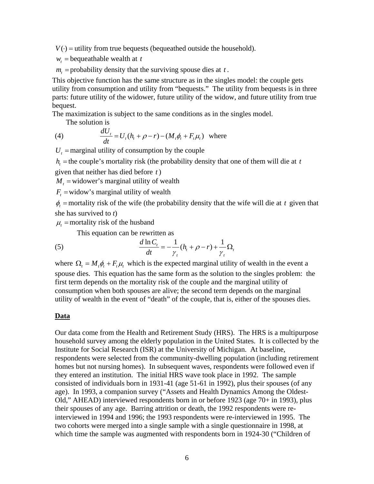$V(\cdot)$  = utility from true bequests (bequeathed outside the household).

 $w_t$  = bequeathable wealth at *t* 

 $m<sub>t</sub>$  = probability density that the surviving spouse dies at *t*.

This objective function has the same structure as in the singles model: the couple gets utility from consumption and utility from "bequests." The utility from bequests is in three parts: future utility of the widower, future utility of the widow, and future utility from true bequest.

The maximization is subject to the same conditions as in the singles model.

The solution is

(4) 
$$
\frac{dU_t}{dt} = U_t(h_t + \rho - r) - (M_t \phi_t + F_t \mu_t) \text{ where}
$$

 $U_t$  = marginal utility of consumption by the couple

 $h<sub>i</sub>$  = the couple's mortality risk (the probability density that one of them will die at *t* given that neither has died before *t* )

 $M_t$  = widower's marginal utility of wealth

 $F_t$  =widow's marginal utility of wealth

 $\phi$  = mortality risk of the wife (the probability density that the wife will die at *t* given that she has survived to *t*)

 $\mu_t$  = mortality risk of the husband

This equation can be rewritten as

(5) 
$$
\frac{d \ln C_t}{dt} = -\frac{1}{\gamma_t} (h_t + \rho - r) + \frac{1}{\gamma_t} \Omega_t
$$

where  $\Omega_t = M_t \phi_t + F_t \mu_t$ , which is the expected marginal utility of wealth in the event a spouse dies. This equation has the same form as the solution to the singles problem: the first term depends on the mortality risk of the couple and the marginal utility of consumption when both spouses are alive; the second term depends on the marginal utility of wealth in the event of "death" of the couple, that is, either of the spouses dies.

#### **Data**

Our data come from the Health and Retirement Study (HRS). The HRS is a multipurpose household survey among the elderly population in the United States. It is collected by the Institute for Social Research (ISR) at the University of Michigan. At baseline, respondents were selected from the community-dwelling population (including retirement homes but not nursing homes). In subsequent waves, respondents were followed even if they entered an institution. The initial HRS wave took place in 1992. The sample consisted of individuals born in 1931-41 (age 51-61 in 1992), plus their spouses (of any age). In 1993, a companion survey ("Assets and Health Dynamics Among the Oldest-Old," AHEAD) interviewed respondents born in or before 1923 (age 70+ in 1993), plus their spouses of any age. Barring attrition or death, the 1992 respondents were reinterviewed in 1994 and 1996; the 1993 respondents were re-interviewed in 1995. The two cohorts were merged into a single sample with a single questionnaire in 1998, at which time the sample was augmented with respondents born in 1924-30 ("Children of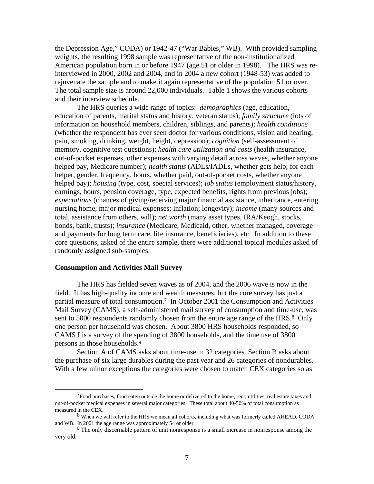the Depression Age," CODA) or 1942-47 ("War Babies," WB). With provided sampling weights, the resulting 1998 sample was representative of the non-institutionalized American population born in or before 1947 (age 51 or older in 1998). The HRS was reinterviewed in 2000, 2002 and 2004, and in 2004 a new cohort (1948-53) was added to rejuvenate the sample and to make it again representative of the population 51 or over. The total sample size is around 22,000 individuals. Table 1 shows the various cohorts and their interview schedule.

The HRS queries a wide range of topics: *demographics* (age, education, education of parents, marital status and history, veteran status); *family structure* (lots of information on household members, children, siblings, and parents); *health conditions* (whether the respondent has ever seen doctor for various conditions, vision and hearing, pain, smoking, drinking, weight, height, depression); *cognition* (self-assessment of memory, cognitive test questions); *health care utilization and costs* (health insurance, out-of-pocket expenses, other expenses with varying detail across waves, whether anyone helped pay, Medicare number); *health status* (ADLs/IADLs, whether gets help; for each helper, gender, frequency, hours, whether paid, out-of-pocket costs, whether anyone helped pay); *housing* (type, cost, special services); *job status* (employment status/history, earnings, hours, pension coverage, type, expected benefits, rights from previous jobs); *expectations* (chances of giving/receiving major financial assistance, inheritance, entering nursing home; major medical expenses; inflation; longevity); *income* (many sources and total, assistance from others, will); *net worth* (many asset types, IRA/Keogh, stocks, bonds, bank, trusts); *insurance* (Medicare, Medicaid, other, whether managed, coverage and payments for long term care, life insurance, beneficiaries), etc. In addition to these core questions, asked of the entire sample, there were additional topical modules asked of randomly assigned sub-samples.

#### **Consumption and Activities Mail Survey**

The HRS has fielded seven waves as of 2004, and the 2006 wave is now in the field. It has high-quality income and wealth measures, but the core survey has just a partial measure of total consumption.7 In October 2001 the Consumption and Activities Mail Survey (CAMS), a self-administered mail survey of consumption and time-use, was sent to 5000 respondents randomly chosen from the entire age range of the HRS.<sup>8</sup> Only one person per household was chosen. About 3800 HRS households responded, so CAMS I is a survey of the spending of 3800 households, and the time use of 3800 persons in those households.9

Section A of CAMS asks about time-use in 32 categories. Section B asks about the purchase of six large durables during the past year and 26 categories of nondurables. With a few minor exceptions the categories were chosen to match CEX categories so as

<sup>&</sup>lt;sup>7</sup>Food purchases, food eaten outside the home or delivered to the home, rent, utilities, real estate taxes and out-of-pocket medical expenses in several major categories. These total about 40-50% of total consumption as measured in the CEX.

<sup>8</sup> When we will refer to the HRS we mean all cohorts, including what was formerly called AHEAD, CODA and WB. In 2001 the age range was approximately 54 or older.

<sup>9</sup> The only discernable pattern of unit nonresponse is a small increase in nonresponse among the very old.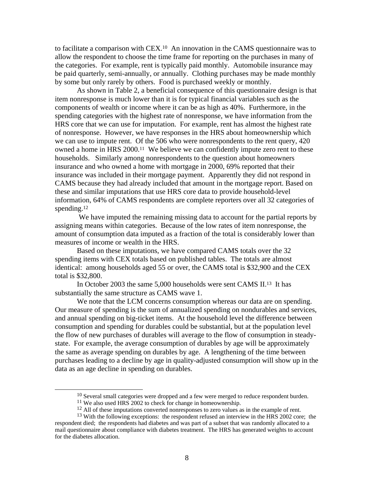to facilitate a comparison with CEX.10 An innovation in the CAMS questionnaire was to allow the respondent to choose the time frame for reporting on the purchases in many of the categories. For example, rent is typically paid monthly. Automobile insurance may be paid quarterly, semi-annually, or annually. Clothing purchases may be made monthly by some but only rarely by others. Food is purchased weekly or monthly.

As shown in Table 2, a beneficial consequence of this questionnaire design is that item nonresponse is much lower than it is for typical financial variables such as the components of wealth or income where it can be as high as 40%. Furthermore, in the spending categories with the highest rate of nonresponse, we have information from the HRS core that we can use for imputation. For example, rent has almost the highest rate of nonresponse. However, we have responses in the HRS about homeownership which we can use to impute rent. Of the 506 who were nonrespondents to the rent query, 420 owned a home in HRS 2000.11 We believe we can confidently impute zero rent to these households. Similarly among nonrespondents to the question about homeowners insurance and who owned a home with mortgage in 2000, 69% reported that their insurance was included in their mortgage payment. Apparently they did not respond in CAMS because they had already included that amount in the mortgage report. Based on these and similar imputations that use HRS core data to provide household-level information, 64% of CAMS respondents are complete reporters over all 32 categories of spending.<sup>12</sup>

 We have imputed the remaining missing data to account for the partial reports by assigning means within categories. Because of the low rates of item nonresponse, the amount of consumption data imputed as a fraction of the total is considerably lower than measures of income or wealth in the HRS.

Based on these imputations, we have compared CAMS totals over the 32 spending items with CEX totals based on published tables. The totals are almost identical: among households aged 55 or over, the CAMS total is \$32,900 and the CEX total is \$32,800.

In October 2003 the same 5,000 households were sent CAMS II.13 It has substantially the same structure as CAMS wave 1.

 We note that the LCM concerns consumption whereas our data are on spending. Our measure of spending is the sum of annualized spending on nondurables and services, and annual spending on big-ticket items. At the household level the difference between consumption and spending for durables could be substantial, but at the population level the flow of new purchases of durables will average to the flow of consumption in steadystate. For example, the average consumption of durables by age will be approximately the same as average spending on durables by age. A lengthening of the time between purchases leading to a decline by age in quality-adjusted consumption will show up in the data as an age decline in spending on durables.

<sup>&</sup>lt;sup>10</sup> Several small categories were dropped and a few were merged to reduce respondent burden.

<sup>&</sup>lt;sup>11</sup> We also used HRS 2002 to check for change in homeownership.

 $12$  All of these imputations converted nonresponses to zero values as in the example of rent.

<sup>&</sup>lt;sup>13</sup> With the following exceptions: the respondent refused an interview in the HRS 2002 core; the respondent died; the respondents had diabetes and was part of a subset that was randomly allocated to a mail questionnaire about compliance with diabetes treatment. The HRS has generated weights to account for the diabetes allocation.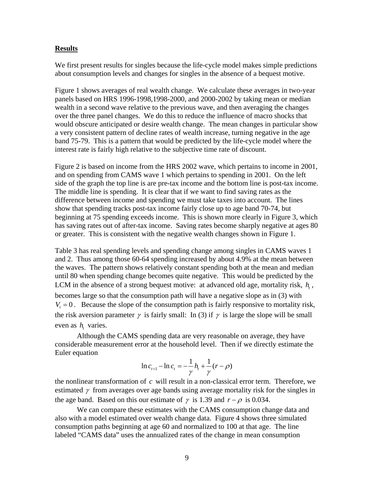## **Results**

We first present results for singles because the life-cycle model makes simple predictions about consumption levels and changes for singles in the absence of a bequest motive.

Figure 1 shows averages of real wealth change. We calculate these averages in two-year panels based on HRS 1996-1998,1998-2000, and 2000-2002 by taking mean or median wealth in a second wave relative to the previous wave, and then averaging the changes over the three panel changes. We do this to reduce the influence of macro shocks that would obscure anticipated or desire wealth change. The mean changes in particular show a very consistent pattern of decline rates of wealth increase, turning negative in the age band 75-79. This is a pattern that would be predicted by the life-cycle model where the interest rate is fairly high relative to the subjective time rate of discount.

Figure 2 is based on income from the HRS 2002 wave, which pertains to income in 2001, and on spending from CAMS wave 1 which pertains to spending in 2001. On the left side of the graph the top line is are pre-tax income and the bottom line is post-tax income. The middle line is spending. It is clear that if we want to find saving rates as the difference between income and spending we must take taxes into account. The lines show that spending tracks post-tax income fairly close up to age band 70-74, but beginning at 75 spending exceeds income. This is shown more clearly in Figure 3, which has saving rates out of after-tax income. Saving rates become sharply negative at ages 80 or greater. This is consistent with the negative wealth changes shown in Figure 1.

Table 3 has real spending levels and spending change among singles in CAMS waves 1 and 2. Thus among those 60-64 spending increased by about 4.9% at the mean between the waves. The pattern shows relatively constant spending both at the mean and median until 80 when spending change becomes quite negative. This would be predicted by the LCM in the absence of a strong bequest motive: at advanced old age, mortality risk,  $h<sub>i</sub>$ , becomes large so that the consumption path will have a negative slope as in (3) with  $V<sub>t</sub> = 0$ . Because the slope of the consumption path is fairly responsive to mortality risk, the risk aversion parameter  $\gamma$  is fairly small: In (3) if  $\gamma$  is large the slope will be small even as  $h$ , varies.

 Although the CAMS spending data are very reasonable on average, they have considerable measurement error at the household level. Then if we directly estimate the Euler equation

$$
\ln c_{t+1} - \ln c_t = -\frac{1}{\gamma} h_t + \frac{1}{\gamma} (r - \rho)
$$

the nonlinear transformation of *c* will result in a non-classical error term. Therefore, we estimated  $\gamma$  from averages over age bands using average mortality risk for the singles in the age band. Based on this our estimate of  $\gamma$  is 1.39 and  $r - \rho$  is 0.034.

 We can compare these estimates with the CAMS consumption change data and also with a model estimated over wealth change data. Figure 4 shows three simulated consumption paths beginning at age 60 and normalized to 100 at that age. The line labeled "CAMS data" uses the annualized rates of the change in mean consumption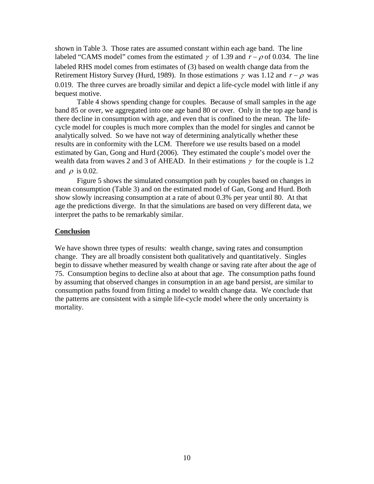shown in Table 3. Those rates are assumed constant within each age band. The line labeled "CAMS model" comes from the estimated  $\gamma$  of 1.39 and  $r - \rho$  of 0.034. The line labeled RHS model comes from estimates of (3) based on wealth change data from the Retirement History Survey (Hurd, 1989). In those estimations  $\gamma$  was 1.12 and  $r - \rho$  was 0.019. The three curves are broadly similar and depict a life-cycle model with little if any bequest motive.

Table 4 shows spending change for couples. Because of small samples in the age band 85 or over, we aggregated into one age band 80 or over. Only in the top age band is there decline in consumption with age, and even that is confined to the mean. The lifecycle model for couples is much more complex than the model for singles and cannot be analytically solved. So we have not way of determining analytically whether these results are in conformity with the LCM. Therefore we use results based on a model estimated by Gan, Gong and Hurd (2006). They estimated the couple's model over the wealth data from waves 2 and 3 of AHEAD. In their estimations  $\gamma$  for the couple is 1.2 and  $\rho$  is 0.02.

 Figure 5 shows the simulated consumption path by couples based on changes in mean consumption (Table 3) and on the estimated model of Gan, Gong and Hurd. Both show slowly increasing consumption at a rate of about 0.3% per year until 80. At that age the predictions diverge. In that the simulations are based on very different data, we interpret the paths to be remarkably similar.

## **Conclusion**

We have shown three types of results: wealth change, saving rates and consumption change. They are all broadly consistent both qualitatively and quantitatively. Singles begin to dissave whether measured by wealth change or saving rate after about the age of 75. Consumption begins to decline also at about that age. The consumption paths found by assuming that observed changes in consumption in an age band persist, are similar to consumption paths found from fitting a model to wealth change data. We conclude that the patterns are consistent with a simple life-cycle model where the only uncertainty is mortality.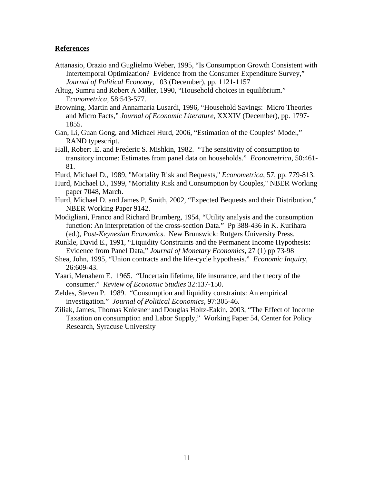## **References**

- Attanasio, Orazio and Guglielmo Weber, 1995, "Is Consumption Growth Consistent with Intertemporal Optimization? Evidence from the Consumer Expenditure Survey," *Journal of Political Economy*, 103 (December), pp. 1121-1157
- Altug, Sumru and Robert A Miller, 1990, "Household choices in equilibrium." E*conometrica*, 58:543-577.

Browning, Martin and Annamaria Lusardi, 1996, "Household Savings: Micro Theories and Micro Facts," *Journal of Economic Literature*, XXXIV (December), pp. 1797- 1855.

Gan, Li, Guan Gong, and Michael Hurd, 2006, "Estimation of the Couples' Model," RAND typescript.

Hall, Robert .E. and Frederic S. Mishkin, 1982. "The sensitivity of consumption to transitory income: Estimates from panel data on households." *Econometrica*, 50:461- 81.

Hurd, Michael D., 1989, "Mortality Risk and Bequests," *Econometrica*, 57, pp. 779-813.

- Hurd, Michael D., 1999, "Mortality Risk and Consumption by Couples," NBER Working paper 7048, March.
- Hurd, Michael D. and James P. Smith, 2002, "Expected Bequests and their Distribution," NBER Working Paper 9142.
- Modigliani, Franco and Richard Brumberg, 1954, "Utility analysis and the consumption function: An interpretation of the cross-section Data." Pp 388-436 in K. Kurihara (ed.), *Post-Keynesian Economics*. New Brunswick: Rutgers University Press.
- Runkle, David E., 1991, "Liquidity Constraints and the Permanent Income Hypothesis: Evidence from Panel Data," *Journal of Monetary Economics*, 27 (1) pp 73-98
- Shea, John, 1995, "Union contracts and the life-cycle hypothesis." *Economic Inquiry*, 26:609-43.
- Yaari, Menahem E. 1965. "Uncertain lifetime, life insurance, and the theory of the consumer." *Review of Economic Studies* 32:137-150.
- Zeldes, Steven P. 1989. "Consumption and liquidity constraints: An empirical investigation." *Journal of Political Economics*, 97:305-46.
- Ziliak, James, Thomas Kniesner and Douglas Holtz-Eakin, 2003, "The Effect of Income Taxation on consumption and Labor Supply," Working Paper 54, Center for Policy Research, Syracuse University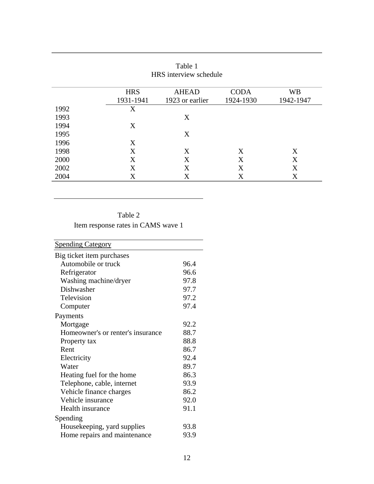|      | <b>HRS</b> | <b>AHEAD</b>    | <b>CODA</b> | <b>WB</b> |
|------|------------|-----------------|-------------|-----------|
|      | 1931-1941  | 1923 or earlier | 1924-1930   | 1942-1947 |
| 1992 | X          |                 |             |           |
| 1993 |            | X               |             |           |
| 1994 | X          |                 |             |           |
| 1995 |            | X               |             |           |
| 1996 | X          |                 |             |           |
| 1998 | X          | X               | X           | X         |
| 2000 | X          | X               | X           | X         |
| 2002 | X          | X               | X           | X         |
| 2004 | $\rm X$    | X               | $\rm X$     | X         |

| Table 1                |  |  |  |  |  |
|------------------------|--|--|--|--|--|
| HRS interview schedule |  |  |  |  |  |

Table 2

Item response rates in CAMS wave 1

| <b>Spending Category</b>            |      |  |
|-------------------------------------|------|--|
| Big ticket item purchases           |      |  |
| Automobile or truck                 | 96.4 |  |
| Refrigerator                        | 96.6 |  |
| Washing machine/dryer               | 97.8 |  |
| Dishwasher                          | 97.7 |  |
| Television                          | 97.2 |  |
| Computer                            | 97.4 |  |
| Payments                            |      |  |
| Mortgage                            | 92.2 |  |
| Homeowner's or renter's insurance   | 88.7 |  |
| Property tax                        | 88.8 |  |
| Rent                                | 86.7 |  |
| Electricity                         | 92.4 |  |
| Water                               | 89.7 |  |
| Heating fuel for the home           | 86.3 |  |
| Telephone, cable, internet          | 93.9 |  |
| Vehicle finance charges             | 86.2 |  |
| Vehicle insurance                   | 92.0 |  |
| Health insurance                    | 91.1 |  |
| Spending                            |      |  |
| Housekeeping, yard supplies<br>93.8 |      |  |
| Home repairs and maintenance        | 93.9 |  |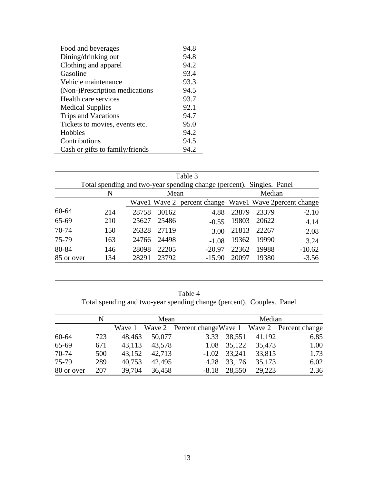| Food and beverages              | 94.8 |
|---------------------------------|------|
| Dining/drinking out             | 94.8 |
| Clothing and apparel            | 94.2 |
| Gasoline                        | 93.4 |
| Vehicle maintenance             | 93.3 |
| (Non-)Prescription medications  | 94.5 |
| Health care services            | 93.7 |
| <b>Medical Supplies</b>         | 92.1 |
| Trips and Vacations             | 94.7 |
| Tickets to movies, events etc.  | 95.0 |
| Hobbies                         | 94.2 |
| Contributions                   | 94.5 |
| Cash or gifts to family/friends | 94.2 |

|                                                                       |     |       |       | Table 3                                                |       |        |          |  |
|-----------------------------------------------------------------------|-----|-------|-------|--------------------------------------------------------|-------|--------|----------|--|
| Total spending and two-year spending change (percent). Singles. Panel |     |       |       |                                                        |       |        |          |  |
|                                                                       | N   |       | Mean  |                                                        |       | Median |          |  |
|                                                                       |     |       |       | Wave1 Wave 2 percent change Wave1 Wave 2percent change |       |        |          |  |
| $60 - 64$                                                             | 214 | 28758 | 30162 | 4.88                                                   | 23879 | 23379  | $-2.10$  |  |
| 65-69                                                                 | 210 | 25627 | 25486 | $-0.55$                                                | 19803 | 20622  | 4.14     |  |
| 70-74                                                                 | 150 | 26328 | 27119 | 3.00                                                   | 21813 | 22267  | 2.08     |  |
| 75-79                                                                 | 163 | 24766 | 24498 | $-1.08$                                                | 19362 | 19990  | 3.24     |  |
| 80-84                                                                 | 146 | 28098 | 22205 | $-20.97$                                               | 22362 | 19988  | $-10.62$ |  |
| 85 or over                                                            | 134 | 28291 | 23792 | $-15.90$                                               | 20097 | 19380  | $-3.56$  |  |

Table 4 Total spending and two-year spending change (percent). Couples. Panel

|            | N   | Mean   |        |                                                           | Median      |        |      |  |
|------------|-----|--------|--------|-----------------------------------------------------------|-------------|--------|------|--|
|            |     |        |        | Wave 1 Wave 2 Percent change Wave 1 Wave 2 Percent change |             |        |      |  |
| 60-64      | 723 | 48,463 | 50,077 |                                                           | 3.33 38,551 | 41,192 | 6.85 |  |
| 65-69      | 671 | 43,113 | 43,578 | 1.08                                                      | 35,122      | 35,473 | 1.00 |  |
| $70-74$    | 500 | 43,152 | 42,713 | $-1.02$                                                   | 33,241      | 33,815 | 1.73 |  |
| 75-79      | 289 | 40,753 | 42,495 | 4.28                                                      | 33,176      | 35,173 | 6.02 |  |
| 80 or over | 207 | 39,704 | 36,458 | $-8.18$                                                   | 28,550      | 29,223 | 2.36 |  |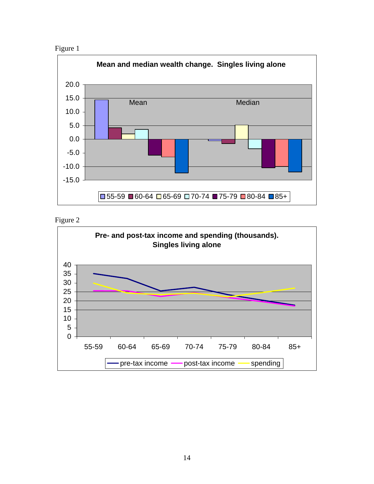



Figure 2

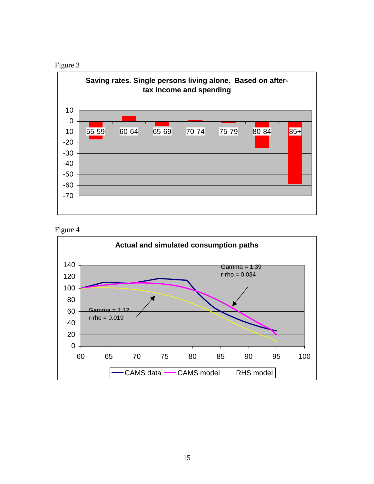



Figure 4